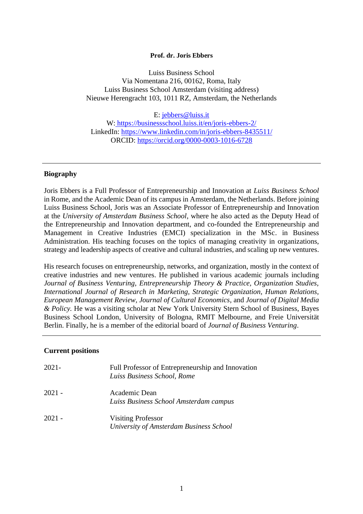#### **Prof. dr. Joris Ebbers**

Luiss Business School Via Nomentana 216, 00162, Roma, Italy Luiss Business School Amsterdam (visiting address) Nieuwe Herengracht 103, 1011 RZ, Amsterdam, the Netherlands

E: [jebbers@luiss.it](mailto:jebbers@luiss.it) W: <https://businessschool.luiss.it/en/joris-ebbers-2/> LinkedIn: [https://www.linkedin.com/in/joris-ebbers-8435511/](https://www.linkedin.com/in/joris-ebbers-8435511/?originalSubdomain=nl) ORCID:<https://orcid.org/0000-0003-1016-6728>

#### **Biography**

Joris Ebbers is a Full Professor of Entrepreneurship and Innovation at *Luiss Business School* in Rome, and the Academic Dean of its campus in Amsterdam, the Netherlands. Before joining Luiss Business School, Joris was an Associate Professor of Entrepreneurship and Innovation at the *University of Amsterdam Business School*, where he also acted as the Deputy Head of the Entrepreneurship and Innovation department, and co-founded the Entrepreneurship and Management in Creative Industries (EMCI) specialization in the MSc. in Business Administration. His teaching focuses on the topics of managing creativity in organizations, strategy and leadership aspects of creative and cultural industries, and scaling up new ventures.

His research focuses on entrepreneurship, networks, and organization, mostly in the context of creative industries and new ventures. He published in various academic journals including *Journal of Business Venturing, Entrepreneurship Theory & Practice, Organization Studies, International Journal of Research in Marketing, Strategic Organization, Human Relations, European Management Review, Journal of Cultural Economics,* and *Journal of Digital Media & Policy.* He was a visiting scholar at New York University Stern School of Business, Bayes Business School London, University of Bologna, RMIT Melbourne, and Freie Universität Berlin. Finally, he is a member of the editorial board of *Journal of Business Venturing*.

#### **Current positions**

| 2021-  | Full Professor of Entrepreneurship and Innovation<br>Luiss Business School, Rome |
|--------|----------------------------------------------------------------------------------|
| 2021 - | Academic Dean<br>Luiss Business School Amsterdam campus                          |
| 2021 - | <b>Visiting Professor</b><br>University of Amsterdam Business School             |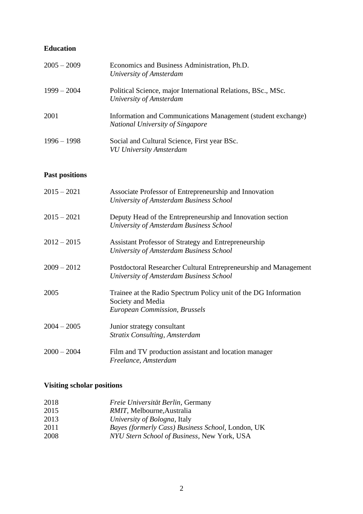## **Education**

| $2005 - 2009$ | Economics and Business Administration, Ph.D.<br>University of Amsterdam                                 |
|---------------|---------------------------------------------------------------------------------------------------------|
| $1999 - 2004$ | Political Science, major International Relations, BSc., MSc.<br>University of Amsterdam                 |
| 2001          | Information and Communications Management (student exchange)<br><b>National University of Singapore</b> |
| $1996 - 1998$ | Social and Cultural Science, First year BSc.<br><b>VU University Amsterdam</b>                          |

# **Past positions**

| $2015 - 2021$ | Associate Professor of Entrepreneurship and Innovation<br>University of Amsterdam Business School                            |
|---------------|------------------------------------------------------------------------------------------------------------------------------|
| $2015 - 2021$ | Deputy Head of the Entrepreneurship and Innovation section<br>University of Amsterdam Business School                        |
| $2012 - 2015$ | Assistant Professor of Strategy and Entrepreneurship<br>University of Amsterdam Business School                              |
| $2009 - 2012$ | Postdoctoral Researcher Cultural Entrepreneurship and Management<br>University of Amsterdam Business School                  |
| 2005          | Trainee at the Radio Spectrum Policy unit of the DG Information<br>Society and Media<br><b>European Commission, Brussels</b> |
| $2004 - 2005$ | Junior strategy consultant<br><b>Stratix Consulting, Amsterdam</b>                                                           |
| $2000 - 2004$ | Film and TV production assistant and location manager<br>Freelance, Amsterdam                                                |

# **Visiting scholar positions**

| 2018 | Freie Universität Berlin, Germany                        |
|------|----------------------------------------------------------|
| 2015 | RMIT, Melbourne, Australia                               |
| 2013 | <i>University of Bologna, Italy</i>                      |
| 2011 | <i>Bayes (formerly Cass) Business School, London, UK</i> |
| 2008 | NYU Stern School of Business, New York, USA              |
|      |                                                          |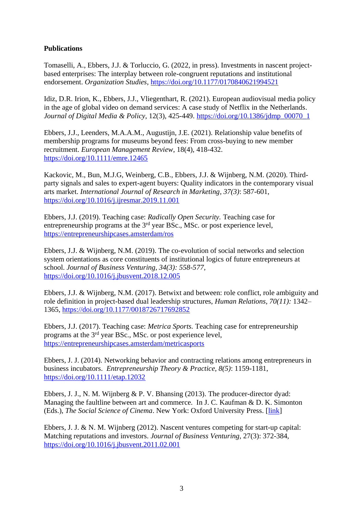### **Publications**

Tomaselli, A., Ebbers, J.J. & Torluccio, G. (2022, in press). Investments in nascent projectbased enterprises: The interplay between role-congruent reputations and institutional endorsement. *Organization Studies*, [https://doi.org/10.1177/0170840621994521](https://doi.org/10.1177%2F0170840621994521)

Idiz, D.R. Irion, K., Ebbers, J.J., Vliegenthart, R. (2021). European audiovisual media policy in the age of global video on demand services: A case study of Netflix in the Netherlands. *Journal of Digital Media & Policy*, 12(3), 425-449. [https://doi.org/10.1386/jdmp\\_00070\\_1](https://doi.org/10.1386/jdmp_00070_1)

Ebbers, J.J., Leenders, M.A.A.M., Augustijn, J.E. (2021). Relationship value benefits of membership programs for museums beyond fees: From cross-buying to new member recruitment. *European Management Review*, 18(4), 418-432. <https://doi.org/10.1111/emre.12465>

Kackovic, M., Bun, M.J.G, Weinberg, C.B., Ebbers, J.J. & Wijnberg, N.M. (2020). Thirdparty signals and sales to expert-agent buyers: Quality indicators in the contemporary visual arts market. *International Journal of Research in Marketing, 37(3)*: 587-601, <https://doi.org/10.1016/j.ijresmar.2019.11.001>

Ebbers, J.J. (2019). Teaching case: *Radically Open Security.* Teaching case for entrepreneurship programs at the 3<sup>rd</sup> year BSc., MSc. or post experience level, <https://entrepreneurshipcases.amsterdam/ros>

Ebbers, J.J. & Wijnberg, N.M. (2019). The co-evolution of social networks and selection system orientations as core constituents of institutional logics of future entrepreneurs at school. *Journal of Business Venturing, 34(3): 558-577,*  <https://doi.org/10.1016/j.jbusvent.2018.12.005>

Ebbers, J.J. & Wijnberg, N.M. (2017). Betwixt and between: role conflict, role ambiguity and role definition in project-based dual leadership structures, *Human Relations, 70(11):* 1342– 1365, [https://doi.org/10.1177/0018726717692852](https://doi.org/10.1177%2F0018726717692852)

Ebbers, J.J. (2017). Teaching case: *Metrica Sports.* Teaching case for entrepreneurship programs at the 3rd year BSc., MSc. or post experience level, <https://entrepreneurshipcases.amsterdam/metricasports>

Ebbers, J. J. (2014). Networking behavior and contracting relations among entrepreneurs in business incubators. *Entrepreneurship Theory & Practice, 8(5)*: 1159-1181, [https://doi.org/10.1111/etap.12032](https://doi.org/10.1111%2Fetap.12032)

Ebbers, J. J., N. M. Wijnberg & P. V. Bhansing  $(2013)$ . The producer-director dyad: Managing the faultline between art and commerce. In J. C. Kaufman & D. K. Simonton (Eds.), *The Social Science of Cinema*. New York: Oxford University Press. [\[link\]](http://ukcatalogue.oup.com/product/9780199797813.do)

Ebbers, J. J. & N. M. Wijnberg (2012). Nascent ventures competing for start-up capital: Matching reputations and investors. *Journal of Business Venturing,* 27(3): 372-384, <https://doi.org/10.1016/j.jbusvent.2011.02.001>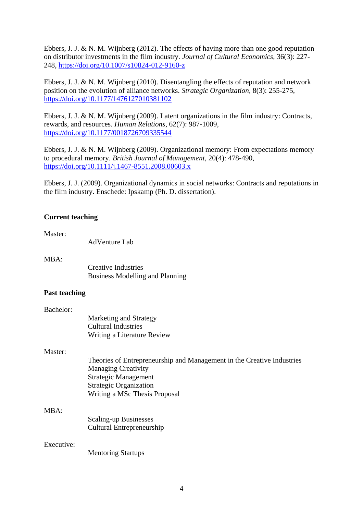Ebbers, J. J. & N. M. Wijnberg (2012). The effects of having more than one good reputation on distributor investments in the film industry. *Journal of Cultural Economics,* 36(3): 227- 248,<https://doi.org/10.1007/s10824-012-9160-z>

Ebbers, J. J. & N. M. Wijnberg (2010). Disentangling the effects of reputation and network position on the evolution of alliance networks. *Strategic Organization*, 8(3): 255-275, [https://doi.org/10.1177/1476127010381102](https://doi.org/10.1177%2F1476127010381102)

Ebbers, J. J. & N. M. Wijnberg (2009). Latent organizations in the film industry: Contracts, rewards, and resources. *Human Relations*, 62(7): 987-1009, [https://doi.org/10.1177/0018726709335544](https://doi.org/10.1177%2F0018726709335544)

Ebbers, J. J. & N. M. Wijnberg (2009). Organizational memory: From expectations memory to procedural memory. *British Journal of Management*, 20(4): 478-490, <https://doi.org/10.1111/j.1467-8551.2008.00603.x>

Ebbers, J. J. (2009). Organizational dynamics in social networks: Contracts and reputations in the film industry. Enschede: Ipskamp (Ph. D. dissertation).

#### **Current teaching**

Master:

| <b>AdVenture Lab</b> |  |
|----------------------|--|
|----------------------|--|

MBA:

Creative Industries Business Modelling and Planning

#### **Past teaching**

| Bachelor: |                             |
|-----------|-----------------------------|
|           | Marketing and Strategy      |
|           | Cultural Industries         |
|           | Writing a Literature Review |

#### Master:

| Theories of Entrepreneurship and Management in the Creative Industries |
|------------------------------------------------------------------------|
| <b>Managing Creativity</b>                                             |
| Strategic Management                                                   |
| <b>Strategic Organization</b>                                          |
| Writing a MSc Thesis Proposal                                          |

#### MBA:

Scaling-up Businesses Cultural Entrepreneurship

#### Executive:

Mentoring Startups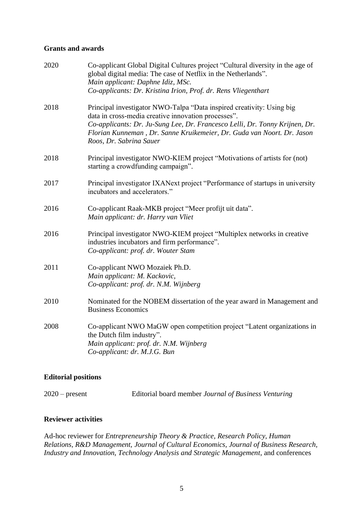#### **Grants and awards**

| 2020 | Co-applicant Global Digital Cultures project "Cultural diversity in the age of<br>global digital media: The case of Netflix in the Netherlands".<br>Main applicant: Daphne Idiz, MSc.<br>Co-applicants: Dr. Kristina Irion, Prof. dr. Rens Vliegenthart                                                          |
|------|------------------------------------------------------------------------------------------------------------------------------------------------------------------------------------------------------------------------------------------------------------------------------------------------------------------|
| 2018 | Principal investigator NWO-Talpa "Data inspired creativity: Using big<br>data in cross-media creative innovation processes".<br>Co-applicants: Dr. Ju-Sung Lee, Dr. Francesco Lelli, Dr. Tonny Krijnen, Dr.<br>Florian Kunneman, Dr. Sanne Kruikemeier, Dr. Guda van Noort. Dr. Jason<br>Roos, Dr. Sabrina Sauer |
| 2018 | Principal investigator NWO-KIEM project "Motivations of artists for (not)<br>starting a crowdfunding campaign".                                                                                                                                                                                                  |
| 2017 | Principal investigator IXANext project "Performance of startups in university<br>incubators and accelerators."                                                                                                                                                                                                   |
| 2016 | Co-applicant Raak-MKB project "Meer profijt uit data".<br>Main applicant: dr. Harry van Vliet                                                                                                                                                                                                                    |
| 2016 | Principal investigator NWO-KIEM project "Multiplex networks in creative<br>industries incubators and firm performance".<br>Co-applicant: prof. dr. Wouter Stam                                                                                                                                                   |
| 2011 | Co-applicant NWO Mozaiek Ph.D.<br>Main applicant: M. Kackovic,<br>Co-applicant: prof. dr. N.M. Wijnberg                                                                                                                                                                                                          |
| 2010 | Nominated for the NOBEM dissertation of the year award in Management and<br><b>Business Economics</b>                                                                                                                                                                                                            |
| 2008 | Co-applicant NWO MaGW open competition project "Latent organizations in<br>the Dutch film industry".<br>Main applicant: prof. dr. N.M. Wijnberg<br>Co-applicant: dr. M.J.G. Bun                                                                                                                                  |

### **Editorial positions**

| $2020$ – present | Editorial board member Journal of Business Venturing |  |  |
|------------------|------------------------------------------------------|--|--|
|                  |                                                      |  |  |

### **Reviewer activities**

Ad-hoc reviewer for *Entrepreneurship Theory & Practice, Research Policy, Human Relations, R&D Management, Journal of Cultural Economics, Journal of Business Research, Industry and Innovation, Technology Analysis and Strategic Management*, and conferences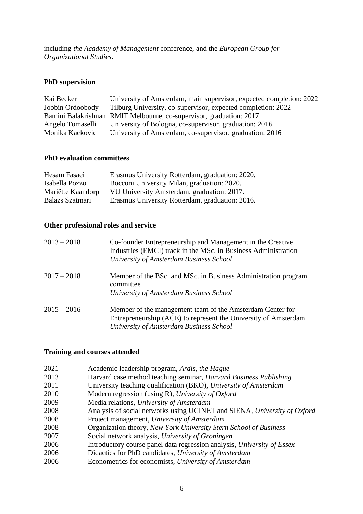including *the Academy of Management* conference, and the *European Group for Organizational Studies*.

## **PhD supervision**

| Kai Becker       | University of Amsterdam, main supervisor, expected completion: 2022 |
|------------------|---------------------------------------------------------------------|
| Joobin Ordoobody | Tilburg University, co-supervisor, expected completion: 2022        |
|                  | Bamini Balakrishnan RMIT Melbourne, co-supervisor, graduation: 2017 |
| Angelo Tomaselli | University of Bologna, co-supervisor, graduation: 2016              |
| Monika Kackovic  | University of Amsterdam, co-supervisor, graduation: 2016            |

### **PhD evaluation committees**

| Hesam Fasaei      | Erasmus University Rotterdam, graduation: 2020. |
|-------------------|-------------------------------------------------|
| Isabella Pozzo    | Bocconi University Milan, graduation: 2020.     |
| Mariëtte Kaandorp | VU University Amsterdam, graduation: 2017.      |
| Balazs Szatmari   | Erasmus University Rotterdam, graduation: 2016. |

## **Other professional roles and service**

| $2013 - 2018$ | Co-founder Entrepreneurship and Management in the Creative<br>Industries (EMCI) track in the MSc. in Business Administration<br>University of Amsterdam Business School |
|---------------|-------------------------------------------------------------------------------------------------------------------------------------------------------------------------|
| $2017 - 2018$ | Member of the BSc. and MSc. in Business Administration program<br>committee                                                                                             |
|               | University of Amsterdam Business School                                                                                                                                 |
| $2015 - 2016$ | Member of the management team of the Amsterdam Center for                                                                                                               |
|               | Entrepreneurship (ACE) to represent the University of Amsterdam                                                                                                         |
|               | University of Amsterdam Business School                                                                                                                                 |

## **Training and courses attended**

| 2021 | Academic leadership program, Ardis, the Hague                            |
|------|--------------------------------------------------------------------------|
| 2013 | Harvard case method teaching seminar, <i>Harvard Business Publishing</i> |
| 2011 | University teaching qualification (BKO), University of Amsterdam         |
| 2010 | Modern regression (using R), University of Oxford                        |
| 2009 | Media relations, University of Amsterdam                                 |
| 2008 | Analysis of social networks using UCINET and SIENA, University of Oxford |
| 2008 | Project management, University of Amsterdam                              |
| 2008 | Organization theory, New York University Stern School of Business        |
| 2007 | Social network analysis, University of Groningen                         |
| 2006 | Introductory course panel data regression analysis, University of Essex  |
| 2006 | Didactics for PhD candidates, University of Amsterdam                    |
| 2006 | Econometrics for economists, University of Amsterdam                     |
|      |                                                                          |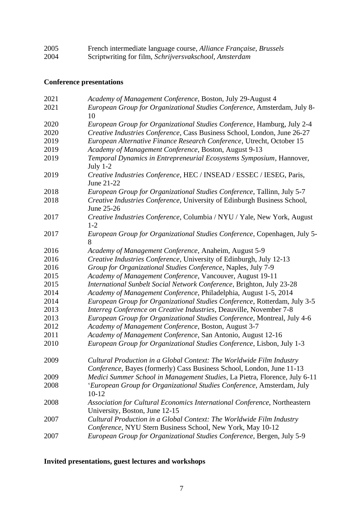| 2005 | French intermediate language course, Alliance Française, Brussels |
|------|-------------------------------------------------------------------|
| 2004 | Scriptwriting for film, Schrijversvakschool, Amsterdam            |

# **Conference presentations**

| 2021 | Academy of Management Conference, Boston, July 29-August 4                                                                                    |
|------|-----------------------------------------------------------------------------------------------------------------------------------------------|
| 2021 | European Group for Organizational Studies Conference, Amsterdam, July 8-                                                                      |
|      | 10                                                                                                                                            |
| 2020 | European Group for Organizational Studies Conference, Hamburg, July 2-4                                                                       |
| 2020 | Creative Industries Conference, Cass Business School, London, June 26-27                                                                      |
| 2019 | European Alternative Finance Research Conference, Utrecht, October 15                                                                         |
| 2019 | Academy of Management Conference, Boston, August 9-13                                                                                         |
| 2019 | Temporal Dynamics in Entrepreneurial Ecosystems Symposium, Hannover,<br>July $1-2$                                                            |
| 2019 | Creative Industries Conference, HEC / INSEAD / ESSEC / IESEG, Paris,<br>June 21-22                                                            |
| 2018 | European Group for Organizational Studies Conference, Tallinn, July 5-7                                                                       |
| 2018 | Creative Industries Conference, University of Edinburgh Business School,<br>June 25-26                                                        |
| 2017 | Creative Industries Conference, Columbia / NYU / Yale, New York, August<br>$1 - 2$                                                            |
| 2017 | European Group for Organizational Studies Conference, Copenhagen, July 5-<br>8                                                                |
| 2016 | Academy of Management Conference, Anaheim, August 5-9                                                                                         |
| 2016 | Creative Industries Conference, University of Edinburgh, July 12-13                                                                           |
| 2016 | Group for Organizational Studies Conference, Naples, July 7-9                                                                                 |
| 2015 | Academy of Management Conference, Vancouver, August 19-11                                                                                     |
| 2015 | International Sunbelt Social Network Conference, Brighton, July 23-28                                                                         |
| 2014 | Academy of Management Conference, Philadelphia, August 1-5, 2014                                                                              |
| 2014 | European Group for Organizational Studies Conference, Rotterdam, July 3-5                                                                     |
| 2013 | Interreg Conference on Creative Industries, Deauville, November 7-8                                                                           |
| 2013 | European Group for Organizational Studies Conference, Montreal, July 4-6                                                                      |
| 2012 | Academy of Management Conference, Boston, August 3-7                                                                                          |
| 2011 | Academy of Management Conference, San Antonio, August 12-16                                                                                   |
| 2010 | European Group for Organizational Studies Conference, Lisbon, July 1-3                                                                        |
| 2009 | Cultural Production in a Global Context: The Worldwide Film Industry<br>Conference, Bayes (formerly) Cass Business School, London, June 11-13 |
| 2009 | Medici Summer School in Management Studies, La Pietra, Florence, July 6-11                                                                    |
| 2008 | 'European Group for Organizational Studies Conference, Amsterdam, July<br>$10 - 12$                                                           |
| 2008 | Association for Cultural Economics International Conference, Northeastern<br>University, Boston, June 12-15                                   |
| 2007 | Cultural Production in a Global Context: The Worldwide Film Industry<br>Conference, NYU Stern Business School, New York, May 10-12            |
| 2007 | European Group for Organizational Studies Conference, Bergen, July 5-9                                                                        |
|      |                                                                                                                                               |

# **Invited presentations, guest lectures and workshops**